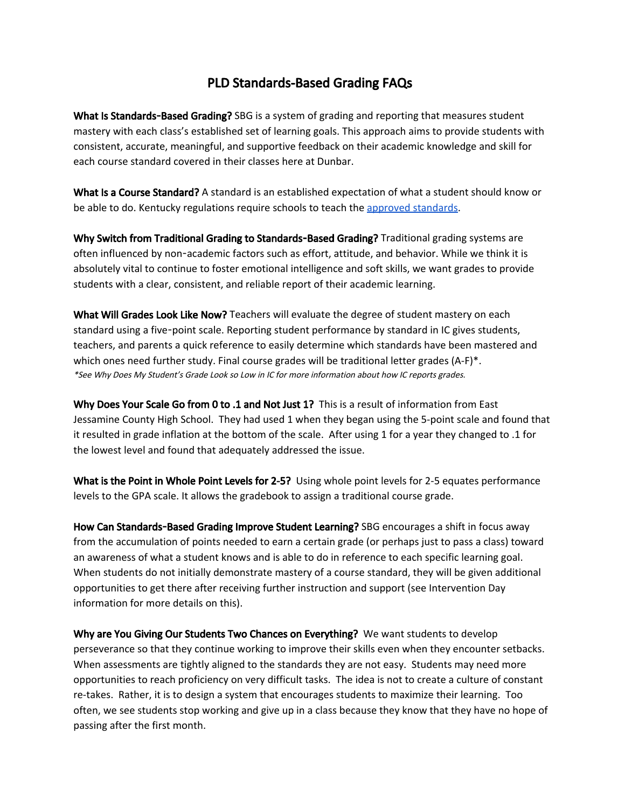## PLD Standards-Based Grading FAQs

What Is Standards-Based Grading? SBG is a system of grading and reporting that measures student mastery with each class's established set of learning goals. This approach aims to provide students with consistent, accurate, meaningful, and supportive feedback on their academic knowledge and skill for each course standard covered in their classes here at Dunbar.

What Is a Course Standard? A standard is an established expectation of what a student should know or be able to do. Kentucky regulations require schools to teach the approved [standards.](http://education.ky.gov/curriculum/standards/kyacadstand/Pages/default.aspx)

Why Switch from Traditional Grading to Standards-Based Grading? Traditional grading systems are often influenced by non-academic factors such as effort, attitude, and behavior. While we think it is absolutely vital to continue to foster emotional intelligence and soft skills, we want grades to provide students with a clear, consistent, and reliable report of their academic learning.

What Will Grades Look Like Now? Teachers will evaluate the degree of student mastery on each standard using a five-point scale. Reporting student performance by standard in IC gives students, teachers, and parents a quick reference to easily determine which standards have been mastered and which ones need further study. Final course grades will be traditional letter grades (A-F)\*. \*See Why Does My Student's Grade Look so Low in IC for more information about how IC reports grades.

Why Does Your Scale Go from 0 to .1 and Not Just 1? This is a result of information from East Jessamine County High School. They had used 1 when they began using the 5-point scale and found that it resulted in grade inflation at the bottom of the scale. After using 1 for a year they changed to .1 for the lowest level and found that adequately addressed the issue.

What is the Point in Whole Point Levels for 2-5? Using whole point levels for 2-5 equates performance levels to the GPA scale. It allows the gradebook to assign a traditional course grade.

How Can Standards-Based Grading Improve Student Learning? SBG encourages a shift in focus away from the accumulation of points needed to earn a certain grade (or perhaps just to pass a class) toward an awareness of what a student knows and is able to do in reference to each specific learning goal. When students do not initially demonstrate mastery of a course standard, they will be given additional opportunities to get there after receiving further instruction and support (see Intervention Day information for more details on this).

Why are You Giving Our Students Two Chances on Everything? We want students to develop perseverance so that they continue working to improve their skills even when they encounter setbacks. When assessments are tightly aligned to the standards they are not easy. Students may need more opportunities to reach proficiency on very difficult tasks. The idea is not to create a culture of constant re-takes. Rather, it is to design a system that encourages students to maximize their learning. Too often, we see students stop working and give up in a class because they know that they have no hope of passing after the first month.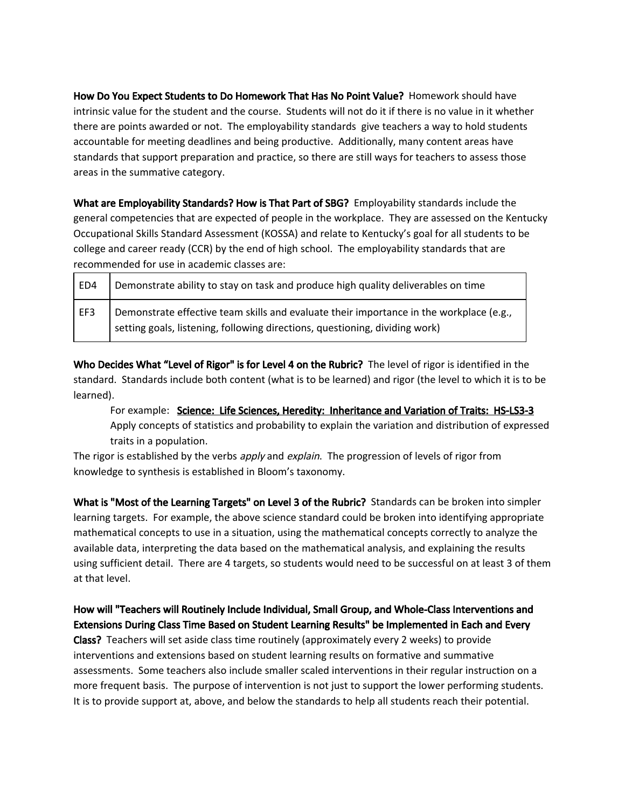How Do You Expect Students to Do Homework That Has No Point Value? Homework should have intrinsic value for the student and the course. Students will not do it if there is no value in it whether there are points awarded or not. The employability standards give teachers a way to hold students accountable for meeting deadlines and being productive. Additionally, many content areas have standards that support preparation and practice, so there are still ways for teachers to assess those areas in the summative category.

What are Employability Standards? How is That Part of SBG? Employability standards include the general competencies that are expected of people in the workplace. They are assessed on the Kentucky Occupational Skills Standard Assessment (KOSSA) and relate to Kentucky's goal for all students to be college and career ready (CCR) by the end of high school. The employability standards that are recommended for use in academic classes are:

| ED4 | Demonstrate ability to stay on task and produce high quality deliverables on time                                                                                      |
|-----|------------------------------------------------------------------------------------------------------------------------------------------------------------------------|
| EF3 | Demonstrate effective team skills and evaluate their importance in the workplace (e.g.,<br>setting goals, listening, following directions, questioning, dividing work) |

Who Decides What "Level of Rigor" is for Level 4 on the Rubric? The level of rigor is identified in the standard. Standards include both content (what is to be learned) and rigor (the level to which it is to be learned).

For example: Science: Life Sciences, Heredity: Inheritance and Variation of Traits: HS-LS3-3 Apply concepts of statistics and probability to explain the variation and distribution of expressed traits in a population.

The rigor is established by the verbs apply and explain. The progression of levels of rigor from knowledge to synthesis is established in Bloom's taxonomy.

What is "Most of the Learning Targets" on Level 3 of the Rubric? Standards can be broken into simpler learning targets. For example, the above science standard could be broken into identifying appropriate mathematical concepts to use in a situation, using the mathematical concepts correctly to analyze the available data, interpreting the data based on the mathematical analysis, and explaining the results using sufficient detail. There are 4 targets, so students would need to be successful on at least 3 of them at that level.

## How will "Teachers will Routinely Include Individual, Small Group, and Whole-Class Interventions and Extensions During Class Time Based on Student Learning Results" be Implemented in Each and Every

Class? Teachers will set aside class time routinely (approximately every 2 weeks) to provide interventions and extensions based on student learning results on formative and summative assessments. Some teachers also include smaller scaled interventions in their regular instruction on a more frequent basis. The purpose of intervention is not just to support the lower performing students. It is to provide support at, above, and below the standards to help all students reach their potential.